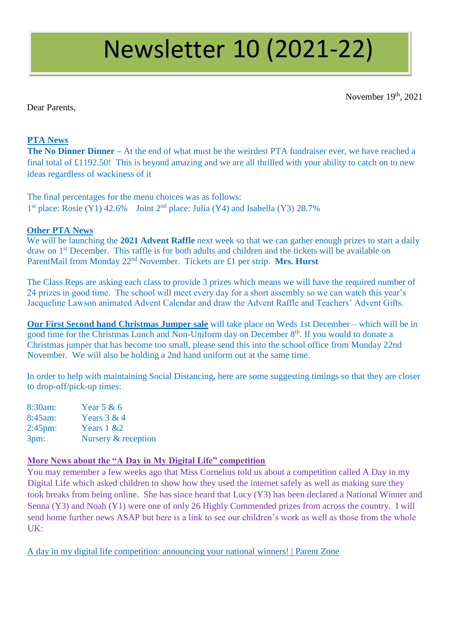# Newsletter 10 (2021-22)

November 19th, 2021

Dear Parents,

# **PTA News**

**The No Dinner Dinner –** At the end of what must be the weirdest PTA fundraiser ever, we have reached a final total of £1192.50! This is beyond amazing and we are all thrilled with your ability to catch on to new ideas regardless of wackiness of it

The final percentages for the menu choices was as follows: 1<sup>st</sup> place: Rosie (Y1) 42.6% Joint 2<sup>nd</sup> place: Julia (Y4) and Isabella (Y3) 28.7%

#### **Other PTA News**

We will be launching the **2021 Advent Raffle** next week so that we can gather enough prizes to start a daily draw on 1st December. This raffle is for both adults and children and the tickets will be available on ParentMail from Monday 22nd November. Tickets are £1 per strip. **Mrs. Hurst**

The Class Reps are asking each class to provide 3 prizes which means we will have the required number of 24 prizes in good time. The school will meet every day for a short assembly so we can watch this year's Jacqueline Lawson animated Advent Calendar and draw the Advent Raffle and Teachers' Advent Gifts.

**Our First Second hand Christmas Jumper sale** will take place on Weds 1st December – which will be in good time for the Christmas Lunch and Non-Uniform day on December 8<sup>th</sup>. If you would to donate a Christmas jumper that has become too small, please send this into the school office from Monday 22nd November. We will also be holding a 2nd hand uniform out at the same time.

In order to help with maintaining Social Distancing, here are some suggesting timings so that they are closer to drop-off/pick-up times:

8:30am: Year 5 & 6 8:45am: Years 3 & 4 2:45pm: Years 1 &2 3pm: Nursery & reception

#### **More News about the "A Day in My Digital Life" competition**

You may remember a few weeks ago that Miss Cornelius told us about a competition called A Day in my Digital Life which asked children to show how they used the internet safely as well as making sure they took breaks from being online. She has since heard that Lucy (Y3) has been declared a National Winner and Senna (Y3) and Noah (Y1) were one of only 26 Highly Commended prizes from across the country. I will send home further news ASAP but here is a link to see our children's work as well as those from the whole UK:

[A day in my digital life competition: announcing your national winners! | Parent Zone](https://parentzone.org.uk/article/day-my-digital-life-competition-national-winners?utm_source=Parents+Newsletter&utm_campaign=556df77c76-EMAIL_CAMPAIGN_2020_12_9parentnewsletterxmas_COPY_&utm_medium=email&utm_term=0_87fb043a40-556df77c76-179766375)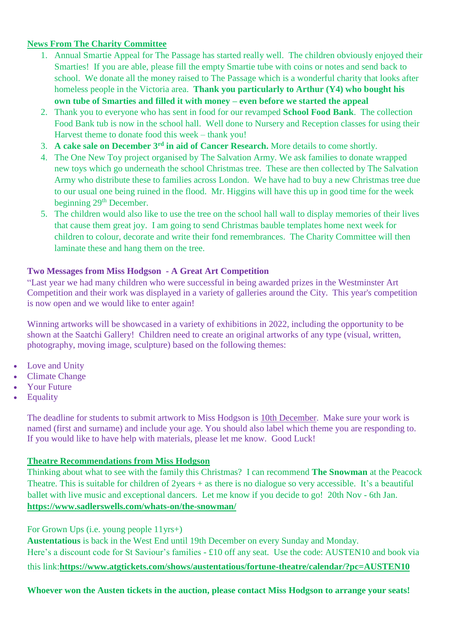# **News From The Charity Committee**

- 1. Annual Smartie Appeal for The Passage has started really well. The children obviously enjoyed their Smarties! If you are able, please fill the empty Smartie tube with coins or notes and send back to school. We donate all the money raised to The Passage which is a wonderful charity that looks after homeless people in the Victoria area. **Thank you particularly to Arthur (Y4) who bought his own tube of Smarties and filled it with money – even before we started the appeal**
- 2. Thank you to everyone who has sent in food for our revamped **School Food Bank**. The collection Food Bank tub is now in the school hall. Well done to Nursery and Reception classes for using their Harvest theme to donate food this week – thank you!
- 3. **A cake sale on December 3rd in aid of Cancer Research.** More details to come shortly.
- 4. The One New Toy project organised by The Salvation Army. We ask families to donate wrapped new toys which go underneath the school Christmas tree. These are then collected by The Salvation Army who distribute these to families across London. We have had to buy a new Christmas tree due to our usual one being ruined in the flood. Mr. Higgins will have this up in good time for the week beginning 29<sup>th</sup> December.
- 5. The children would also like to use the tree on the school hall wall to display memories of their lives that cause them great joy. I am going to send Christmas bauble templates home next week for children to colour, decorate and write their fond remembrances. The Charity Committee will then laminate these and hang them on the tree.

#### **Two Messages from Miss Hodgson - A Great Art Competition**

"Last year we had many children who were successful in being awarded prizes in the Westminster Art Competition and their work was displayed in a variety of galleries around the City. This year's competition is now open and we would like to enter again!

Winning artworks will be showcased in a variety of exhibitions in 2022, including the opportunity to be shown at the Saatchi Gallery! Children need to create an original artworks of any type (visual, written, photography, moving image, sculpture) based on the following themes:

- Love and Unity
- Climate Change
- Your Future
- **Equality**

The deadline for students to submit artwork to Miss Hodgson is 10th December. Make sure your work is named (first and surname) and include your age. You should also label which theme you are responding to. If you would like to have help with materials, please let me know. Good Luck!

#### **Theatre Recommendations from Miss Hodgson**

Thinking about what to see with the family this Christmas? I can recommend **The Snowman** at the Peacock Theatre. This is suitable for children of 2years + as there is no dialogue so very accessible. It's a beautiful ballet with live music and exceptional dancers. Let me know if you decide to go! 20th Nov - 6th Jan. **<https://www.sadlerswells.com/whats-on/the-snowman/>**

# For Grown Ups (i.e. young people 11yrs+)

**Austentatious** is back in the West End until 19th December on every Sunday and Monday. Here's a discount code for St Saviour's families - £10 off any seat. Use the code: AUSTEN10 and book via this link:**<https://www.atgtickets.com/shows/austentatious/fortune-theatre/calendar/?pc=AUSTEN10>**

**Whoever won the Austen tickets in the auction, please contact Miss Hodgson to arrange your seats!**